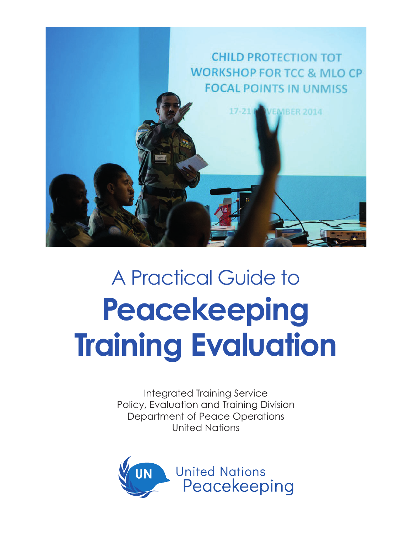

## A Practical Guide to **Peacekeeping Training Evaluation**

Integrated Training Service Policy, Evaluation and Training Division Department of Peace Operations United Nations

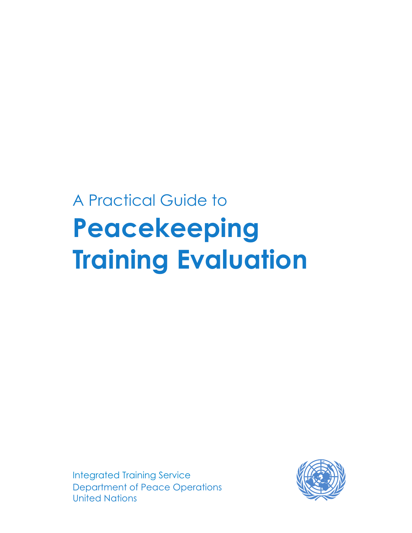### A Practical Guide to **Peacekeeping Training Evaluation**

Department of Peace Operations United Nations Integrated Training Service

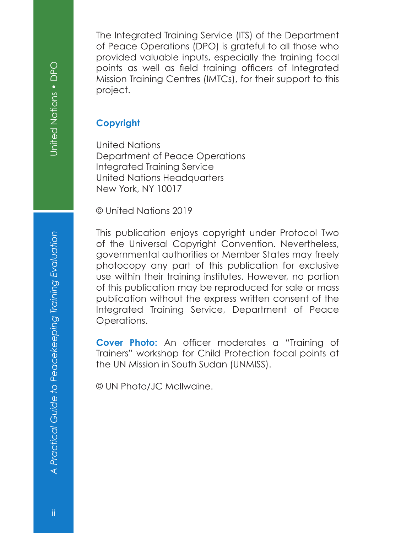The Integrated Training Service (ITS) of the Department of Peace Operations (DPO) is grateful to all those who provided valuable inputs, especially the training focal points as well as field training officers of Integrated Mission Training Centres (IMTCs), for their support to this project.

#### **Copyright**

United Nations Department of Peace Operations Integrated Training Service United Nations Headquarters New York, NY 10017

© United Nations 2019

This publication enjoys copyright under Protocol Two of the Universal Copyright Convention. Nevertheless, governmental authorities or Member States may freely photocopy any part of this publication for exclusive use within their training institutes. However, no portion of this publication may be reproduced for sale or mass publication without the express written consent of the Integrated Training Service, Department of Peace Operations.

**Cover Photo:** An officer moderates a "Training of Trainers" workshop for Child Protection focal points at the UN Mission in South Sudan (UNMISS).

© UN Photo/JC McIlwaine.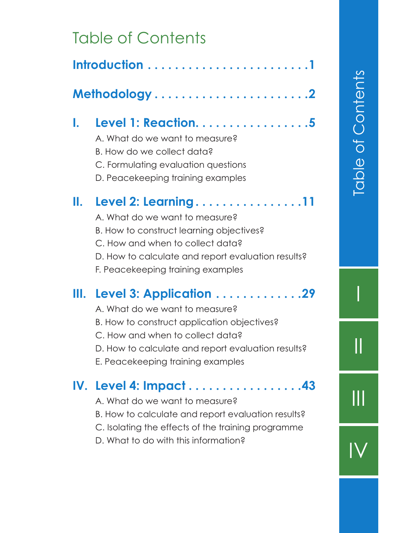#### Table of Contents

| I.   | Level 1: Reaction. 5<br>A. What do we want to measure?<br>B. How do we collect data?<br>C. Formulating evaluation questions<br>D. Peacekeeping training examples                                                                        |
|------|-----------------------------------------------------------------------------------------------------------------------------------------------------------------------------------------------------------------------------------------|
| II.  | Level 2: Learning11<br>A. What do we want to measure?<br>B. How to construct learning objectives?<br>C. How and when to collect data?<br>D. How to calculate and report evaluation results?<br>F. Peacekeeping training examples        |
| III. | Level 3: Application 29<br>A. What do we want to measure?<br>B. How to construct application objectives?<br>C. How and when to collect data?<br>D. How to calculate and report evaluation results?<br>E. Peacekeeping training examples |
|      | IV. Level 4: Impact43<br>A. What do we want to measure?<br>B. How to calculate and report evaluation results?<br>C. Isolating the effects of the training programme<br>D. What to do with this information?                             |

III

 $\overline{\mathsf{I}}$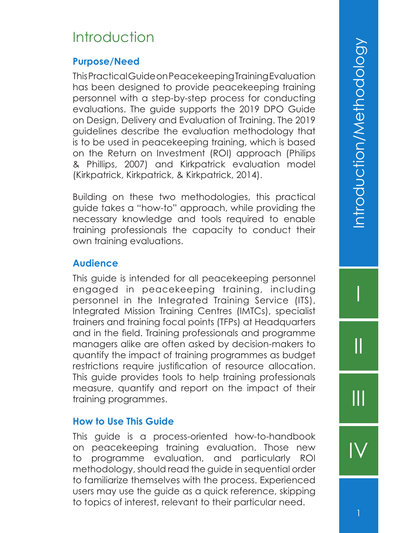#### **Introduction**

#### **Purpose/Need**

This Practical Guide on Peacekeeping Training Evaluation has been designed to provide peacekeeping training personnel with a step-by-step process for conducting evaluations. The guide supports the 2019 DPO Guide on Design, Delivery and Evaluation of Training. The 2019 guidelines describe the evaluation methodology that is to be used in peacekeeping training, which is based on the Return on Investment (ROI) approach (Philips & Phillips, 2007) and Kirkpatrick evaluation model (Kirkpatrick, Kirkpatrick, & Kirkpatrick, 2014).

Building on these two methodologies, this practical guide takes a "how-to" approach, while providing the necessary knowledge and tools required to enable training professionals the capacity to conduct their own training evaluations.

#### **Audience**

This guide is intended for all peacekeeping personnel engaged in peacekeeping training, including personnel in the Integrated Training Service (ITS), Integrated Mission Training Centres (IMTCs), specialist trainers and training focal points (TFPs) at Headquarters and in the field. Training professionals and programme managers alike are often asked by decision-makers to quantify the impact of training programmes as budget restrictions require justification of resource allocation. This guide provides tools to help training professionals measure, quantify and report on the impact of their training programmes.

#### **How to Use This Guide**

This guide is a process-oriented how-to-handbook on peacekeeping training evaluation. Those new to programme evaluation, and particularly ROI methodology, should read the guide in sequential order to familiarize themselves with the process. Experienced users may use the guide as a quick reference, skipping to topics of interest, relevant to their particular need.

I

II

III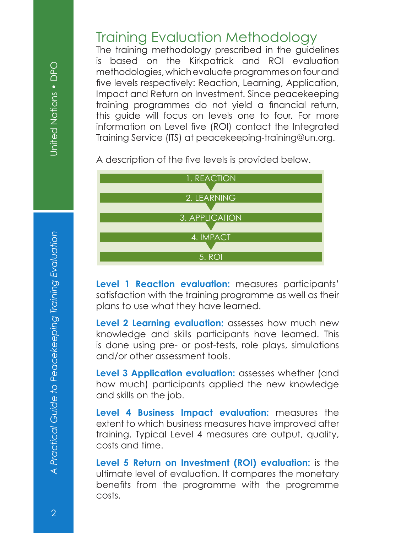# *A Practical Guide to Peacekeeping Training Evaluation* United Nations • DPO A Practical Guide to Peacekeeping Training Evaluation

#### Training Evaluation Methodology

The training methodology prescribed in the guidelines is based on the Kirkpatrick and ROI evaluation methodologies, which evaluate programmes on four and five levels respectively: Reaction, Learning, Application, Impact and Return on Investment. Since peacekeeping training programmes do not yield a financial return, this guide will focus on levels one to four. For more information on Level five (ROI) contact the Integrated Training Service (ITS) at peacekeeping-training@un.org.

A description of the five levels is provided below.



**Level 1 Reaction evaluation:** measures participants' satisfaction with the training programme as well as their plans to use what they have learned.

**Level 2 Learning evaluation:** assesses how much new knowledge and skills participants have learned. This is done using pre- or post-tests, role plays, simulations and/or other assessment tools.

**Level 3 Application evaluation:** assesses whether (and how much) participants applied the new knowledge and skills on the job.

**Level 4 Business Impact evaluation:** measures the extent to which business measures have improved after training. Typical Level 4 measures are output, quality, costs and time.

**Level 5 Return on Investment (ROI) evaluation:** is the ultimate level of evaluation. It compares the monetary benefits from the programme with the programme costs.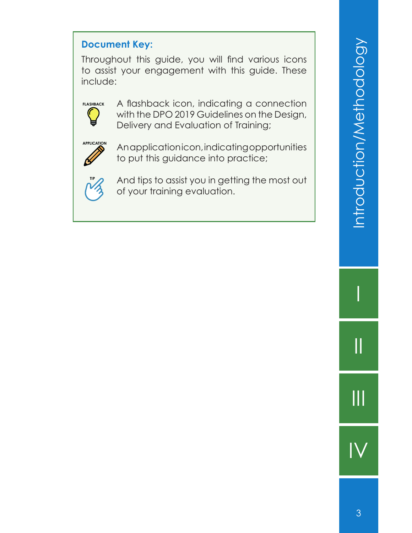#### **Document Key:**

Throughout this guide, you will find various icons to assist your engagement with this guide. These include:



A flashback icon, indicating a connection with the DPO 2019 Guidelines on the Design, Delivery and Evaluation of Training;



An application icon, indicating opportunities to put this guidance into practice;



And tips to assist you in getting the most out of your training evaluation.

I

II

III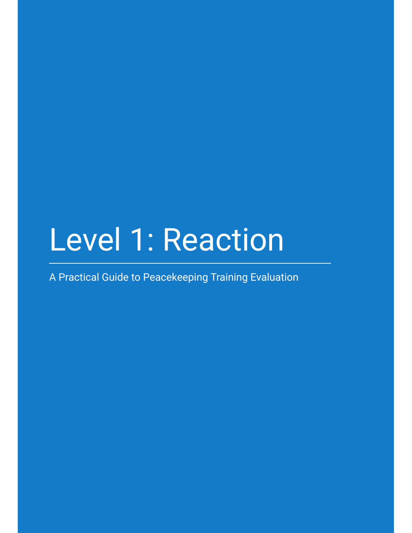## Level 1: Reaction

A Practical Guide to Peacekeeping Training Evaluation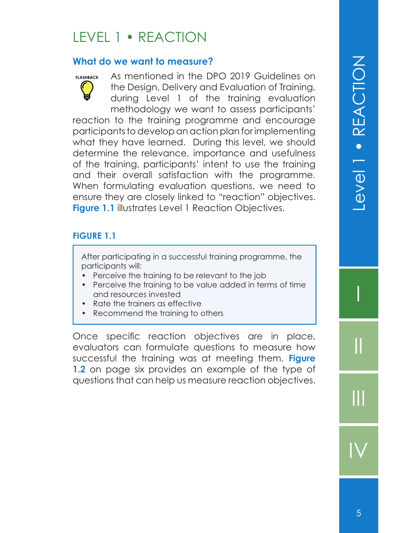#### LEVEL 1 • REACTION

#### **What do we want to measure?**

**FLASHBACK** As mentioned in the DPO 2019 Guidelines on the Design, Delivery and Evaluation of Training, during Level 1 of the training evaluation methodology we want to assess participants' reaction to the training programme and encourage participants to develop an action plan for implementing what they have learned. During this level, we should determine the relevance, importance and usefulness of the training, participants' intent to use the training and their overall satisfaction with the programme. When formulating evaluation questions, we need to ensure they are closely linked to "reaction" objectives. **Figure 1.1** illustrates Level 1 Reaction Objectives.

#### **FIGURE 1.1**

After participating in a successful training programme, the participants will:

- Perceive the training to be relevant to the job
- Perceive the training to be value added in terms of time and resources invested
- Rate the trainers as effective
- Recommend the training to others

Once specific reaction objectives are in place, evaluators can formulate questions to measure how successful the training was at meeting them. **Figure 1.2** on page six provides an example of the type of questions that can help us measure reaction objectives.

I

II

III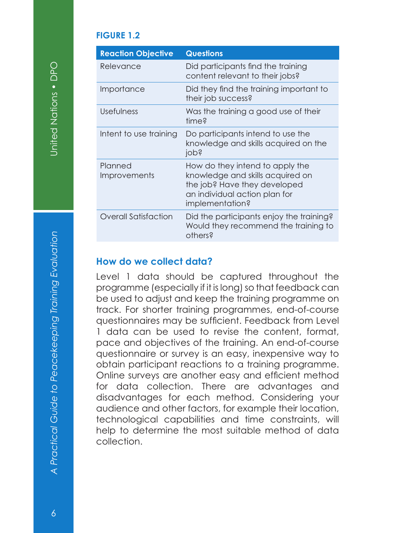#### **FIGURE 1.2**

| <b>Reaction Objective</b>   | <b>Questions</b>                                                                                                                                        |
|-----------------------------|---------------------------------------------------------------------------------------------------------------------------------------------------------|
| Relevance                   | Did participants find the training<br>content relevant to their jobs?                                                                                   |
| Importance                  | Did they find the training important to<br>their job success?                                                                                           |
| Usefulness                  | Was the training a good use of their<br>time?                                                                                                           |
| Intent to use training      | Do participants intend to use the<br>knowledge and skills acquired on the<br>jopś                                                                       |
| Planned<br>Improvements     | How do they intend to apply the<br>knowledge and skills acquired on<br>the job? Have they developed<br>an individual action plan for<br>implementation? |
| <b>Overall Satisfaction</b> | Did the participants enjoy the training?<br>Would they recommend the training to<br>others?                                                             |

#### **How do we collect data?**

Level 1 data should be captured throughout the programme (especially if it is long) so that feedback can be used to adjust and keep the training programme on track. For shorter training programmes, end-of-course questionnaires may be sufficient. Feedback from Level 1 data can be used to revise the content, format, pace and objectives of the training. An end-of-course questionnaire or survey is an easy, inexpensive way to obtain participant reactions to a training programme. Online surveys are another easy and efficient method for data collection. There are advantages and disadvantages for each method. Considering your audience and other factors, for example their location, technological capabilities and time constraints, will help to determine the most suitable method of data collection.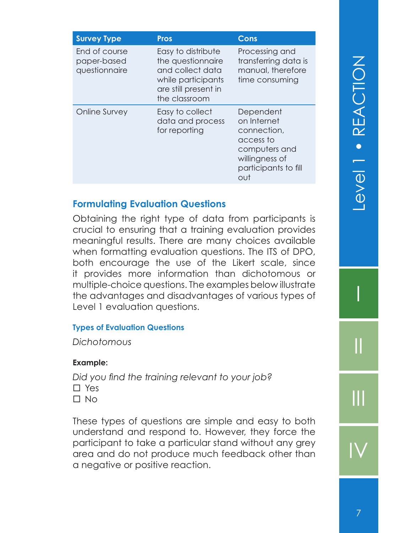| <b>Survey Type</b>                            | <b>Pros</b>                                                                                                                | Cons                                                                                                                   |
|-----------------------------------------------|----------------------------------------------------------------------------------------------------------------------------|------------------------------------------------------------------------------------------------------------------------|
| End of course<br>paper-based<br>questionnaire | Easy to distribute<br>the questionnaire<br>and collect data<br>while participants<br>are still present in<br>the classroom | Processing and<br>transferring data is<br>manual, therefore<br>time consuming                                          |
| Online Survey                                 | Easy to collect<br>data and process<br>for reporting                                                                       | Dependent<br>on Internet<br>connection,<br>access to<br>computers and<br>willingness of<br>participants to fill<br>out |

#### **Formulating Evaluation Questions**

Obtaining the right type of data from participants is crucial to ensuring that a training evaluation provides meaningful results. There are many choices available when formatting evaluation questions. The ITS of DPO, both encourage the use of the Likert scale, since it provides more information than dichotomous or multiple-choice questions. The examples below illustrate the advantages and disadvantages of various types of Level 1 evaluation questions.

#### **Types of Evaluation Questions**

*Dichotomous*

#### **Example:**

Did you find the training relevant to your job? □ Yes  $\Box$  No

These types of questions are simple and easy to both understand and respond to. However, they force the participant to take a particular stand without any grey area and do not produce much feedback other than a negative or positive reaction.

I

II

III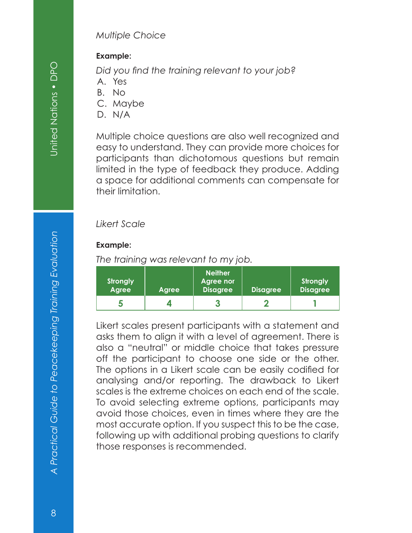#### *Multiple Choice*

#### **Example:**

Did you find the training relevant to your job?

- A. Yes
- B. No
- C. Maybe
- D. N/A

Multiple choice questions are also well recognized and easy to understand. They can provide more choices for participants than dichotomous questions but remain limited in the type of feedback they produce. Adding a space for additional comments can compensate for their limitation.

#### *Likert Scale*

#### **Example:**

*The training was relevant to my job.*

| <b>Strongly</b><br>Agree | <b>Agree</b> | <b>Neither</b><br>Agree nor<br><b>Disagree</b> | <b>Disagree</b> | <b>Strongly</b><br><b>Disagree</b> |
|--------------------------|--------------|------------------------------------------------|-----------------|------------------------------------|
| Đ                        |              |                                                |                 |                                    |

Likert scales present participants with a statement and asks them to align it with a level of agreement. There is also a "neutral" or middle choice that takes pressure off the participant to choose one side or the other. The options in a Likert scale can be easily codified for analysing and/or reporting. The drawback to Likert scales is the extreme choices on each end of the scale. To avoid selecting extreme options, participants may avoid those choices, even in times where they are the most accurate option. If you suspect this to be the case, following up with additional probing questions to clarify those responses is recommended.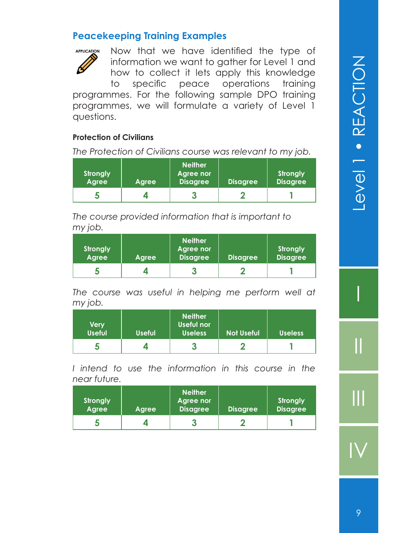#### **Peacekeeping Training Examples**



Now that we have identified the type of information we want to gather for Level 1 and how to collect it lets apply this knowledge to specific peace operations training programmes. For the following sample DPO training programmes, we will formulate a variety of Level 1 questions.

#### **Protection of Civilians**

*The Protection of Civilians course was relevant to my job.*

| <b>Strongly</b><br><b>Agree</b> | Agree | <b>Neither</b><br>Agree nor<br><b>Disagree</b> | <b>Disagree</b> | <b>Strongly</b><br><b>Disagree</b> |
|---------------------------------|-------|------------------------------------------------|-----------------|------------------------------------|
|                                 |       |                                                |                 |                                    |

*The course provided information that is important to my job.*

| <b>Strongly</b><br><b>Agree</b> | Agree | <b>Neither</b><br>Agree nor<br><b>Disagree</b> | <b>Disagree</b> | <b>Strongly</b><br><b>Disagree</b> |
|---------------------------------|-------|------------------------------------------------|-----------------|------------------------------------|
|                                 |       |                                                |                 |                                    |

*The course was useful in helping me perform well at my job.*

| <b>Very</b><br><b>Useful</b> | <b>Useful</b> | <b>Neither</b><br>Useful nor<br><b>Useless</b> | <b>Not Useful</b> | <b>Useless</b> |
|------------------------------|---------------|------------------------------------------------|-------------------|----------------|
| Ð                            |               | o                                              |                   |                |

*I intend to use the information in this course in the near future.*

| <b>Strongly</b><br><b>Agree</b> | Agree | <b>Neither</b><br>Agree nor<br><b>Disagree</b> | <b>Disagree</b> | <b>Strongly</b><br><b>Disagree</b> |
|---------------------------------|-------|------------------------------------------------|-----------------|------------------------------------|
|                                 |       | o                                              |                 |                                    |

I

II

III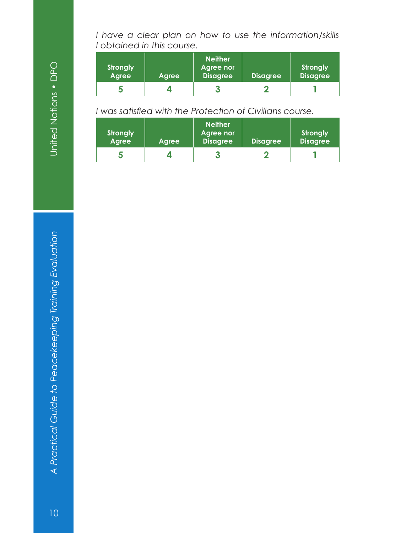United Nations . DPO

*A Practical Guide to Peacekeeping Training Evaluation* United Nations • DPO A Practical Guide to Peacekeeping Training Evaluation *I have a clear plan on how to use the information/skills I obtained in this course.*

| <b>Strongly</b><br>Agree | Agree | <b>Neither</b><br><b>Agree nor</b><br><b>Disagree</b> | <b>Disagree</b> | <b>Strongly</b><br><b>Disagree</b> |
|--------------------------|-------|-------------------------------------------------------|-----------------|------------------------------------|
| ю                        |       |                                                       |                 |                                    |

*I* was satisfied with the Protection of Civilians course.

| <b>Strongly</b><br><b>Agree</b> | Agree | <b>Neither</b><br>Agree nor<br><b>Disagree</b> | <b>Disagree</b> | <b>Strongly</b><br><b>Disagree</b> |
|---------------------------------|-------|------------------------------------------------|-----------------|------------------------------------|
|                                 |       |                                                |                 |                                    |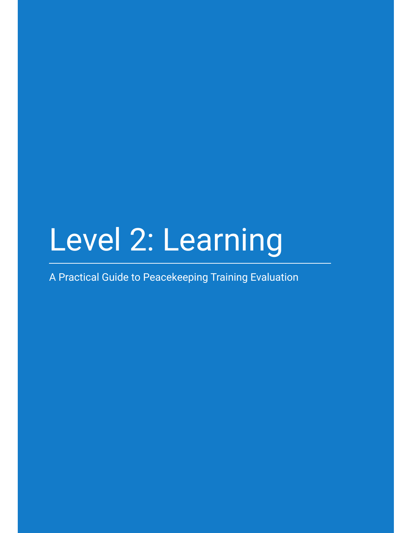## Level 2: Learning

A Practical Guide to Peacekeeping Training Evaluation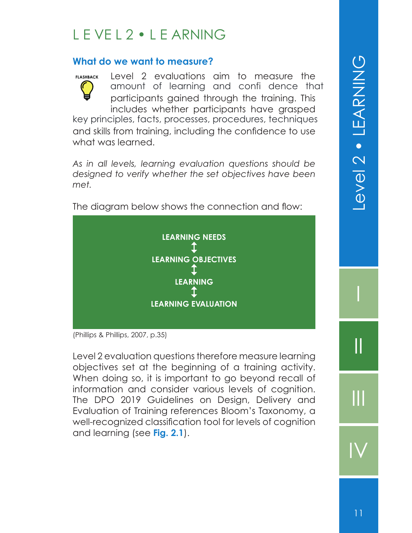#### L E VE L 2 • L E ARNING

#### **What do we want to measure?**

Level 2 evaluations aim to measure the participants gained through the training. This includes whether participants have grasped **FLASHBACK** amount of learning and confi dence that

and skills from training, including the confidence to use what was learned. key principles, facts, processes, procedures, techniques

*As in all levels, learning evaluation questions should be designed to verify whether the set objectives have been met.* 



The diagram below shows the connection and flow:

(Phillips & Phillips, 2007, p.35)

Level 2 evaluation questions therefore measure learning objectives set at the beginning of a training activity. When doing so, it is important to go beyond recall of information and consider various levels of cognition. The DPO 2019 Guidelines on Design, Delivery and Evaluation of Training references Bloom's Taxonomy, a well-recognized classification tool for levels of cognition and learning (see **Fig. 2.1**).

I

II

III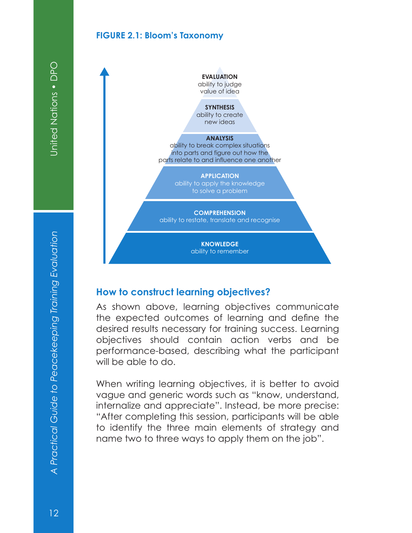#### **FIGURE 2.1: Bloom's Taxonomy**



#### **How to construct learning objectives?**

As shown above, learning objectives communicate the expected outcomes of learning and define the desired results necessary for training success. Learning objectives should contain action verbs and be performance-based, describing what the participant will be able to do.

When writing learning objectives, it is better to avoid vague and generic words such as "know, understand, internalize and appreciate". Instead, be more precise: "After completing this session, participants will be able to identify the three main elements of strategy and name two to three ways to apply them on the job".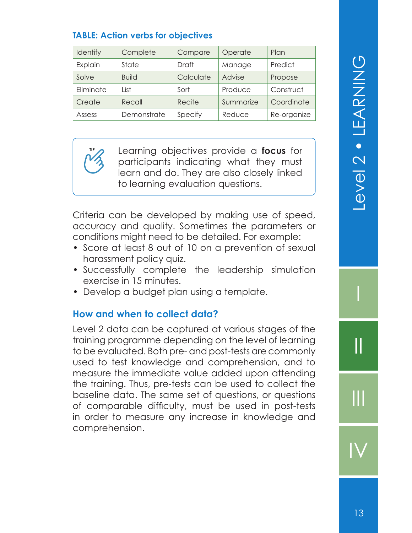#### **TABLE: Action verbs for objectives**

| Identify  | Complete     | Compare      | Operate   | Plan        |
|-----------|--------------|--------------|-----------|-------------|
| Explain   | State        | <b>Draft</b> | Manage    | Predict     |
| Solve     | <b>Build</b> | Calculate    | Advise    | Propose     |
| Eliminate | l ist        | Sort         | Produce   | Construct   |
| Create    | Recall       | Recite       | Summarize | Coordinate  |
| Assess    | Demonstrate  | Specify      | Reduce    | Re-organize |

**TIP** Learning objectives provide a **focus** for participants indicating what they must learn and do. They are also closely linked to learning evaluation questions.

Criteria can be developed by making use of speed, accuracy and quality. Sometimes the parameters or conditions might need to be detailed. For example:

- Score at least 8 out of 10 on a prevention of sexual harassment policy quiz.
- Successfully complete the leadership simulation exercise in 15 minutes.
- Develop a budget plan using a template.

#### **How and when to collect data?**

Level 2 data can be captured at various stages of the training programme depending on the level of learning to be evaluated. Both pre- and post-tests are commonly used to test knowledge and comprehension, and to measure the immediate value added upon attending the training. Thus, pre-tests can be used to collect the baseline data. The same set of questions, or questions of comparable difficulty, must be used in post-tests in order to measure any increase in knowledge and comprehension.

I

II

III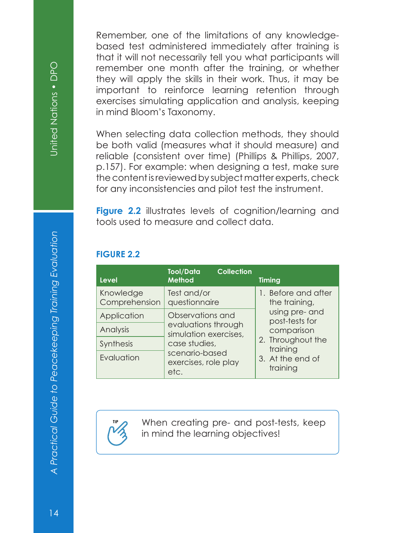United Nations . DPO

Remember, one of the limitations of any knowledgebased test administered immediately after training is that it will not necessarily tell you what participants will remember one month after the training, or whether they will apply the skills in their work. Thus, it may be important to reinforce learning retention through exercises simulating application and analysis, keeping in mind Bloom's Taxonomy.

When selecting data collection methods, they should be both valid (measures what it should measure) and reliable (consistent over time) (Phillips & Phillips, 2007, p.157). For example: when designing a test, make sure the content is reviewed by subject matter experts, check for any inconsistencies and pilot test the instrument.

**Figure 2.2** illustrates levels of cognition/learning and tools used to measure and collect data.

#### **FIGURE 2.2**

| <b>Level</b>               | <b>Tool/Data</b><br><b>Method</b>                                | <b>Collection</b> | <b>Timing</b>                        |
|----------------------------|------------------------------------------------------------------|-------------------|--------------------------------------|
| Knowledge<br>Comprehension | Test and/or<br>questionnaire                                     |                   | 1. Before and after<br>the training, |
| Application                | Observations and<br>evaluations through<br>simulation exercises, |                   | using pre- and<br>post-tests for     |
| Analysis                   |                                                                  |                   | comparison                           |
| <b>Synthesis</b>           | case studies,                                                    |                   | 2. Throughout the<br>training        |
| Evaluation                 | scenario-based<br>exercises, role play<br>etc.                   |                   | 3. At the end of<br>training         |



When creating pre- and post-tests, keep in mind the learning objectives!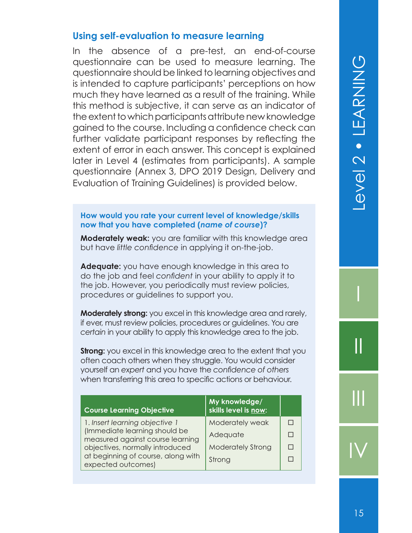#### **Using self-evaluation to measure learning**

In the absence of a pre-test, an end-of-course questionnaire can be used to measure learning. The questionnaire should be linked to learning objectives and is intended to capture participants' perceptions on how much they have learned as a result of the training. While this method is subjective, it can serve as an indicator of the extent to which participants attribute new knowledge gained to the course. Including a confidence check can further validate participant responses by reflecting the extent of error in each answer. This concept is explained later in Level 4 (estimates from participants). A sample questionnaire (Annex 3, DPO 2019 Design, Delivery and Evaluation of Training Guidelines) is provided below.

#### **How would you rate your current level of knowledge/skills now that you have completed (***name of course***)?**

**Moderately weak:** you are familiar with this knowledge area but have *little confidence* in applying it on-the-job.

**Adequate:** you have enough knowledge in this area to do the job and feel *confident* in your ability to apply it to the job. However, you periodically must review policies, procedures or guidelines to support you.

**Moderately strong:** you excel in this knowledge area and rarely, if ever, must review policies, procedures or guidelines. You are *certain* in your ability to apply this knowledge area to the job.

**Strong:** you excel in this knowledge area to the extent that you often coach others when they struggle. You would consider yourself an *expert* and you have the *confi dence of others* when transferring this area to specific actions or behaviour.

| <b>Course Learning Objective</b>                                  | My knowledge/<br>skills level is now: |  |
|-------------------------------------------------------------------|---------------------------------------|--|
| 1. Insert learning objective 1                                    | Moderately weak                       |  |
| (Immediate learning should be<br>measured against course learning | Adequate                              |  |
| objectives, normally introduced                                   | <b>Moderately Strong</b>              |  |
| at beginning of course, along with<br>expected outcomes)          | Strong                                |  |

I

II

 $\mathbf{||}$ 

IV

1.5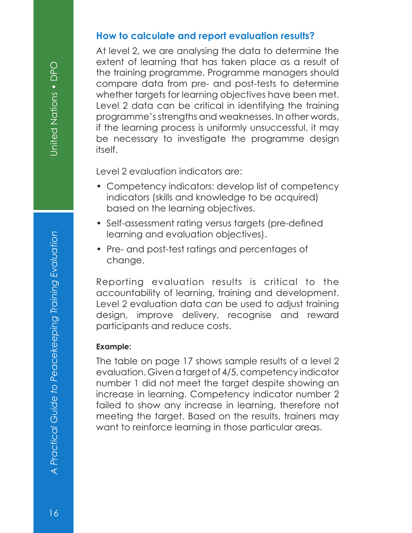#### **How to calculate and report evaluation results?**

At level 2, we are analysing the data to determine the extent of learning that has taken place as a result of the training programme. Programme managers should compare data from pre- and post-tests to determine whether targets for learning objectives have been met. Level 2 data can be critical in identifying the training programme's strengths and weaknesses. In other words, if the learning process is uniformly unsuccessful, it may be necessary to investigate the programme design itself.

Level 2 evaluation indicators are:

- Competency indicators: develop list of competency indicators (skills and knowledge to be acquired) based on the learning objectives.
- Self-assessment rating versus targets (pre-defined learning and evaluation objectives).
- Pre- and post-test ratings and percentages of change.

Reporting evaluation results is critical to the accountability of learning, training and development. Level 2 evaluation data can be used to adjust training design, improve delivery, recognise and reward participants and reduce costs.

#### **Example:**

The table on page 17 shows sample results of a level 2 evaluation. Given a target of 4/5, competency indicator number 1 did not meet the target despite showing an increase in learning. Competency indicator number 2 failed to show any increase in learning, therefore not meeting the target. Based on the results, trainers may want to reinforce learning in those particular areas.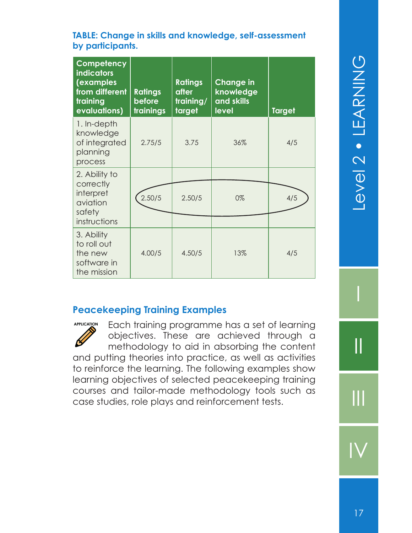#### **TABLE: Change in skills and knowledge, self-assessment by participants.**

| Competency<br><b>indicators</b><br>(examples<br>from different<br>training<br>evaluations) | <b>Ratings</b><br>before<br>trainings | <b>Ratings</b><br>after<br>training/<br>target | <b>Change in</b><br>knowledge<br>and skills<br>level | <b>Target</b> |
|--------------------------------------------------------------------------------------------|---------------------------------------|------------------------------------------------|------------------------------------------------------|---------------|
| 1. In-depth<br>knowledge<br>of integrated<br>planning<br>process                           | 2.75/5                                | 3.75                                           | 36%                                                  | 4/5           |
| 2. Ability to<br>correctly<br>interpret<br>aviation<br>safety                              | 2.50/5                                | 2.50/5                                         | 0%                                                   | 4/5           |
| instructions<br>3. Ability<br>to roll out<br>the new<br>software in<br>the mission         | 4.00/5                                | 4.50/5                                         | 13%                                                  | 4/5           |

#### **Peacekeeping Training Examples**

Each training programme has a set of learning objectives. These are achieved through a methodology to aid in absorbing the content and putting theories into practice, as well as activities to reinforce the learning. The following examples show learning objectives of selected peacekeeping training courses and tailor-made methodology tools such as case studies, role plays and reinforcement tests. **APPLICATION**

I

II

III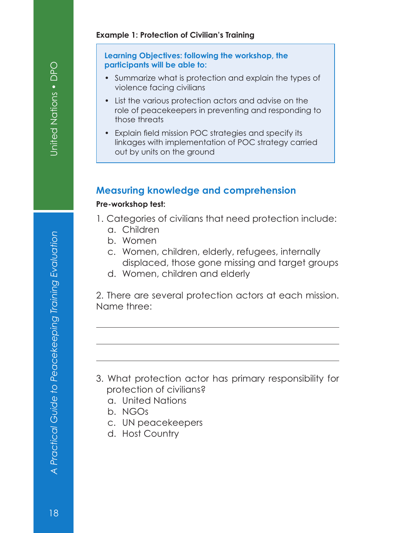#### **Example 1: Protection of Civilian's Training**

#### **Learning Objectives: following the workshop, the participants will be able to:**

- Summarize what is protection and explain the types of violence facing civilians
- List the various protection actors and advise on the role of peacekeepers in preventing and responding to those threats
- Explain field mission POC strategies and specify its linkages with implementation of POC strategy carried out by units on the ground

#### **Measuring knowledge and comprehension**

#### **Pre-workshop test:**

- 1. Categories of civilians that need protection include:
	- a. Children
	- b. Women
	- c. Women, children, elderly, refugees, internally displaced, those gone missing and target groups
	- d. Women, children and elderly

2. There are several protection actors at each mission. Name three:

- 3. What protection actor has primary responsibility for protection of civilians?
	- a. United Nations
	- b. NGOs
	- c. UN peacekeepers
	- d. Host Country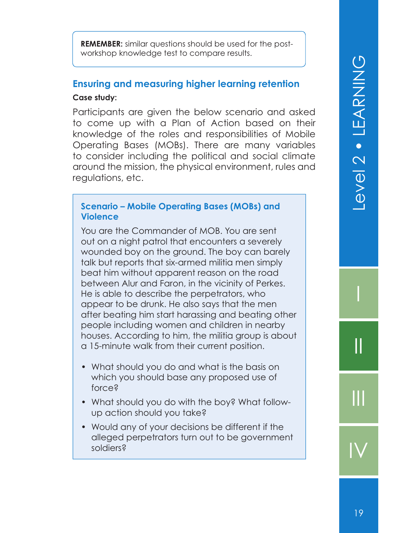evel 2 · LEARNING 19 Level 2 • LEARNING

I

II

III

IV

**REMEMBER:** similar questions should be used for the postworkshop knowledge test to compare results.

#### **Ensuring and measuring higher learning retention Case study:**

Participants are given the below scenario and asked to come up with a Plan of Action based on their knowledge of the roles and responsibilities of Mobile Operating Bases (MOBs). There are many variables to consider including the political and social climate around the mission, the physical environment, rules and regulations, etc.

#### **Scenario – Mobile Operating Bases (MOBs) and Violence**

You are the Commander of MOB. You are sent out on a night patrol that encounters a severely wounded boy on the ground. The boy can barely talk but reports that six-armed militia men simply beat him without apparent reason on the road between Alur and Faron, in the vicinity of Perkes. He is able to describe the perpetrators, who appear to be drunk. He also says that the men after beating him start harassing and beating other people including women and children in nearby houses. According to him, the militia group is about a 15-minute walk from their current position.

- What should you do and what is the basis on which you should base any proposed use of force?
- What should you do with the boy? What followup action should you take?
- Would any of your decisions be different if the alleged perpetrators turn out to be government soldiers?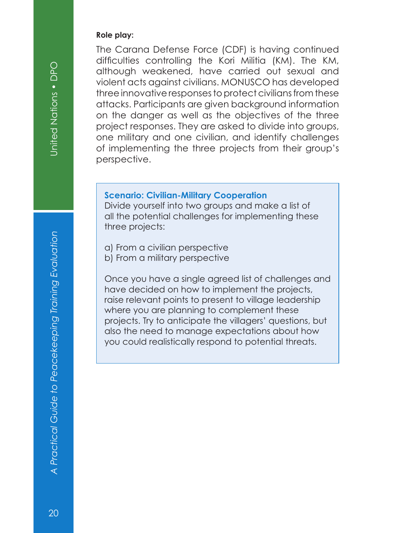#### **Role play:**

The Carana Defense Force (CDF) is having continued difficulties controlling the Kori Militia (KM). The KM, although weakened, have carried out sexual and violent acts against civilians. MONUSCO has developed three innovative responses to protect civilians from these attacks. Participants are given background information on the danger as well as the objectives of the three project responses. They are asked to divide into groups, one military and one civilian, and identify challenges of implementing the three projects from their group's perspective.

#### **Scenario: Civilian-Military Cooperation**

Divide yourself into two groups and make a list of all the potential challenges for implementing these three projects:

- a) From a civilian perspective
- b) From a military perspective

Once you have a single agreed list of challenges and have decided on how to implement the projects, raise relevant points to present to village leadership where you are planning to complement these projects. Try to anticipate the villagers' questions, but also the need to manage expectations about how you could realistically respond to potential threats.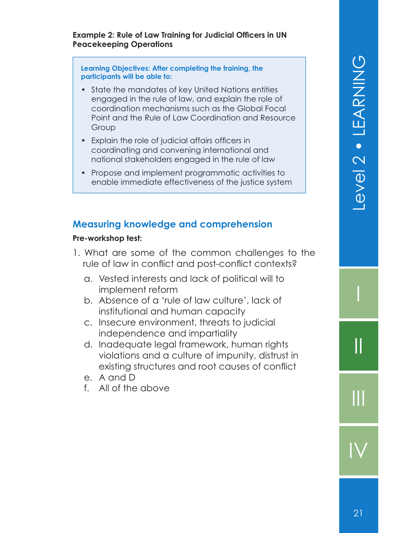#### **Example 2: Rule of Law Training for Judicial Officers in UN Peacekeeping Operations**

**Learning Objectives: After completing the training, the participants will be able to:**

- State the mandates of key United Nations entities engaged in the rule of law, and explain the role of coordination mechanisms such as the Global Focal Point and the Rule of Law Coordination and Resource Group
- Explain the role of judicial affairs officers in coordinating and convening international and national stakeholders engaged in the rule of law
- Propose and implement programmatic activities to enable immediate effectiveness of the justice system

#### **Measuring knowledge and comprehension**

#### **Pre-workshop test:**

- 1. What are some of the common challenges to the rule of law in conflict and post-conflict contexts?
	- a. Vested interests and lack of political will to implement reform
	- b. Absence of a 'rule of law culture', lack of institutional and human capacity
	- c. Insecure environment, threats to judicial independence and impartiality
	- d. Inadequate legal framework, human rights violations and a culture of impunity, distrust in existing structures and root causes of conflict
	- e. A and D
	- f. All of the above

I

II

 $\mathbf{||}$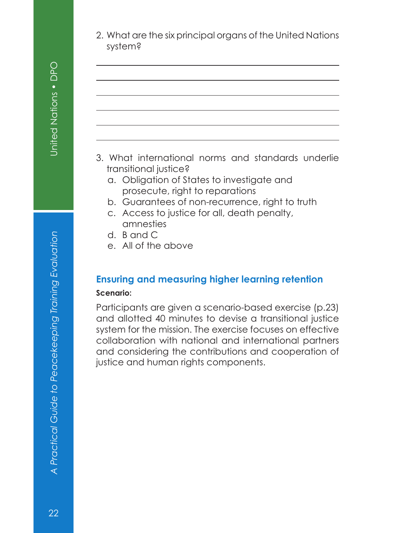$\overline{a}$ 

2. What are the six principal organs of the United Nations system?

- 3. What international norms and standards underlie transitional justice?
	- a. Obligation of States to investigate and prosecute, right to reparations
	- b. Guarantees of non-recurrence, right to truth
	- c. Access to justice for all, death penalty, amnesties
	- d. B and C
	- e. All of the above

#### **Ensuring and measuring higher learning retention Scenario:**

Participants are given a scenario-based exercise (p.23) and allotted 40 minutes to devise a transitional justice system for the mission. The exercise focuses on effective collaboration with national and international partners and considering the contributions and cooperation of justice and human rights components.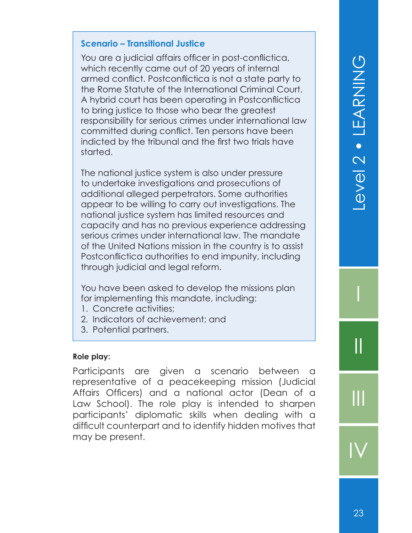#### **Scenario – Transitional Justice**

You are a judicial affairs officer in post-conflictica, which recently came out of 20 years of internal armed conflict. Postconflictica is not a state party to the Rome Statute of the International Criminal Court. A hybrid court has been operating in Postconflictica to bring justice to those who bear the greatest responsibility for serious crimes under international law committed during conflict. Ten persons have been indicted by the tribunal and the first two trials have started.

The national justice system is also under pressure to undertake investigations and prosecutions of additional alleged perpetrators. Some authorities appear to be willing to carry out investigations. The national justice system has limited resources and capacity and has no previous experience addressing serious crimes under international law. The mandate of the United Nations mission in the country is to assist Postconflictica authorities to end impunity, including through judicial and legal reform.

You have been asked to develop the missions plan for implementing this mandate, including:

- 1. Concrete activities;
- 2. Indicators of achievement; and
- 3. Potential partners.

#### **Role play:**

Participants are given a scenario between a representative of a peacekeeping mission (Judicial Affairs Officers) and a national actor (Dean of a Law School). The role play is intended to sharpen participants' diplomatic skills when dealing with a difficult counterpart and to identify hidden motives that may be present.

I

II

III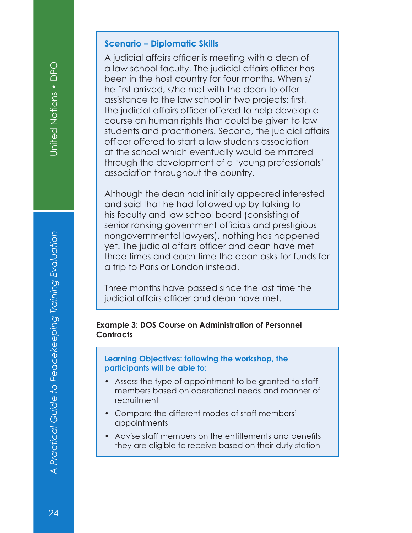#### **Scenario – Diplomatic Skills**

A judicial affairs officer is meeting with a dean of a law school faculty. The judicial affairs officer has been in the host country for four months. When s/ he first arrived, s/he met with the dean to offer assistance to the law school in two projects: first, the judicial affairs officer offered to help develop a course on human rights that could be given to law students and practitioners. Second, the judicial affairs officer offered to start a law students association at the school which eventually would be mirrored through the development of a 'young professionals' association throughout the country.

Although the dean had initially appeared interested and said that he had followed up by talking to his faculty and law school board (consisting of senior ranking government officials and prestigious nongovernmental lawyers), nothing has happened yet. The judicial affairs officer and dean have met three times and each time the dean asks for funds for a trip to Paris or London instead.

Three months have passed since the last time the judicial affairs officer and dean have met.

#### **Example 3: DOS Course on Administration of Personnel Contracts**

**Learning Objectives: following the workshop, the participants will be able to:**

- Assess the type of appointment to be granted to staff members based on operational needs and manner of recruitment
- Compare the different modes of staff members' appointments
- Advise staff members on the entitlements and benefits they are eligible to receive based on their duty station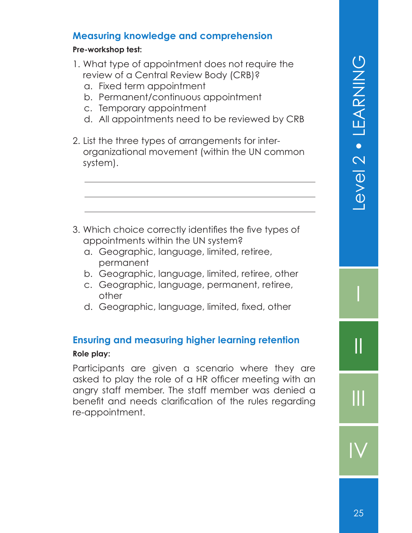#### **Measuring knowledge and comprehension**

#### **Pre-workshop test:**

- 1. What type of appointment does not require the review of a Central Review Body (CRB)?
	- a. Fixed term appointment
	- b. Permanent/continuous appointment
	- c. Temporary appointment
	- d. All appointments need to be reviewed by CRB
- 2. List the three types of arrangements for interorganizational movement (within the UN common system).

- 3. Which choice correctly identifies the five types of appointments within the UN system?
	- a. Geographic, language, limited, retiree, permanent
	- b. Geographic, language, limited, retiree, other
	- c. Geographic, language, permanent, retiree, other
	- d. Geographic, language, limited, fixed, other

#### **Ensuring and measuring higher learning retention**

#### **Role play:**

Participants are given a scenario where they are asked to play the role of a HR officer meeting with an angry staff member. The staff member was denied a benefit and needs clarification of the rules regarding re-appointment.

I

II

III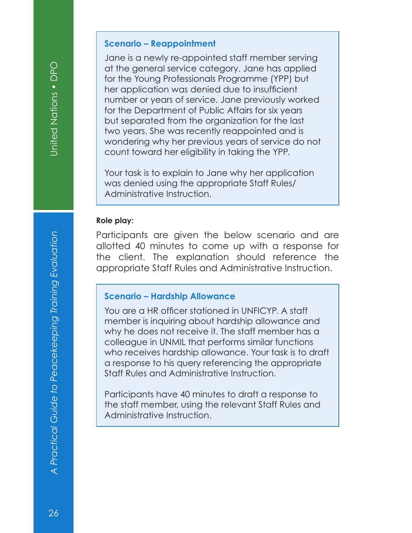#### **Scenario – Reappointment**

Jane is a newly re-appointed staff member serving at the general service category. Jane has applied for the Young Professionals Programme (YPP) but her application was denied due to insufficient number or years of service. Jane previously worked for the Department of Public Affairs for six years but separated from the organization for the last two years. She was recently reappointed and is wondering why her previous years of service do not count toward her eligibility in taking the YPP.

Your task is to explain to Jane why her application was denied using the appropriate Staff Rules/ Administrative Instruction.

#### **Role play:**

Participants are given the below scenario and are allotted 40 minutes to come up with a response for the client. The explanation should reference the appropriate Staff Rules and Administrative Instruction.

#### **Scenario – Hardship Allowance**

You are a HR officer stationed in UNFICYP. A staff member is inquiring about hardship allowance and why he does not receive it. The staff member has a colleague in UNMIL that performs similar functions who receives hardship allowance. Your task is to draft a response to his query referencing the appropriate Staff Rules and Administrative Instruction.

Participants have 40 minutes to draft a response to the staff member, using the relevant Staff Rules and Administrative Instruction.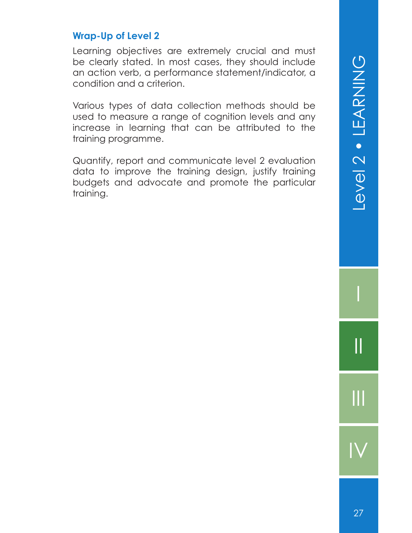#### **Wrap-Up of Level 2**

Learning objectives are extremely crucial and must be clearly stated. In most cases, they should include an action verb, a performance statement/indicator, a condition and a criterion.

Various types of data collection methods should be used to measure a range of cognition levels and any increase in learning that can be attributed to the training programme.

Quantify, report and communicate level 2 evaluation data to improve the training design, justify training budgets and advocate and promote the particular training.

I

II

III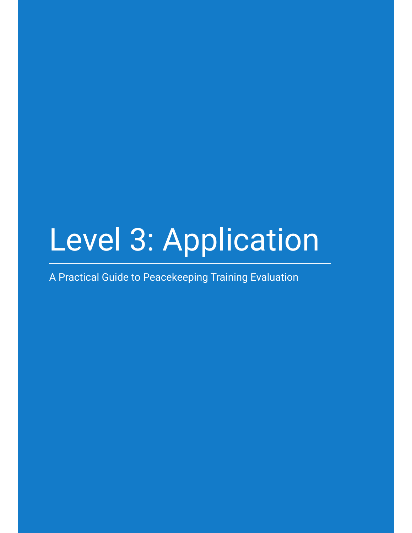# Level 3: Application

A Practical Guide to Peacekeeping Training Evaluation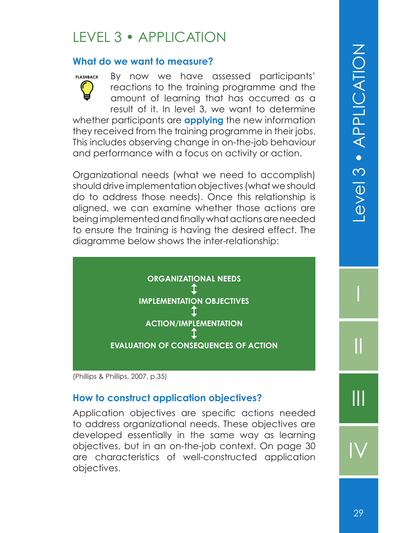#### LEVEL 3 • APPLICATION

#### **What do we want to measure?**

By now we have assessed participants' reactions to the training programme and the amount of learning that has occurred as a result of it. In level 3, we want to determine whether participants are **applying** the new information **FLASHBACK**

they received from the training programme in their jobs. This includes observing change in on-the-job behaviour and performance with a focus on activity or action.

Organizational needs (what we need to accomplish) should drive implementation objectives (what we should do to address those needs). Once this relationship is aligned, we can examine whether those actions are being implemented and finally what actions are needed to ensure the training is having the desired effect. The diagramme below shows the inter-relationship:



(Phillips & Phillips, 2007, p.35)

#### **How to construct application objectives?**

Application objectives are specific actions needed to address organizational needs. These objectives are developed essentially in the same way as learning objectives, but in an on-the-job context. On page 30 are characteristics of well-constructed application objectives.

I

II

III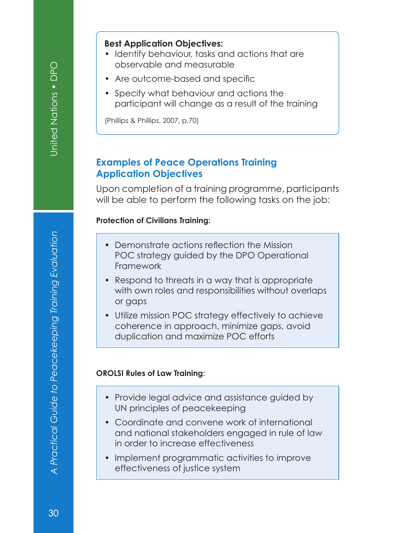#### **Best Application Objectives:**

- Identify behaviour, tasks and actions that are observable and measurable
- Are outcome-based and specific
- Specify what behaviour and actions the participant will change as a result of the training

(Phillips & Phillips, 2007, p.70)

#### **Examples of Peace Operations Training Application Objectives**

Upon completion of a training programme, participants will be able to perform the following tasks on the job:

#### **Protection of Civilians Training:**

- Demonstrate actions reflection the Mission POC strategy guided by the DPO Operational Framework
- Respond to threats in a way that is appropriate with own roles and responsibilities without overlaps or gaps
- Utilize mission POC strategy effectively to achieve coherence in approach, minimize gaps, avoid duplication and maximize POC efforts

#### **OROLSI Rules of Law Training:**

- Provide legal advice and assistance guided by UN principles of peacekeeping
- Coordinate and convene work of international and national stakeholders engaged in rule of law in order to increase effectiveness
- Implement programmatic activities to improve effectiveness of justice system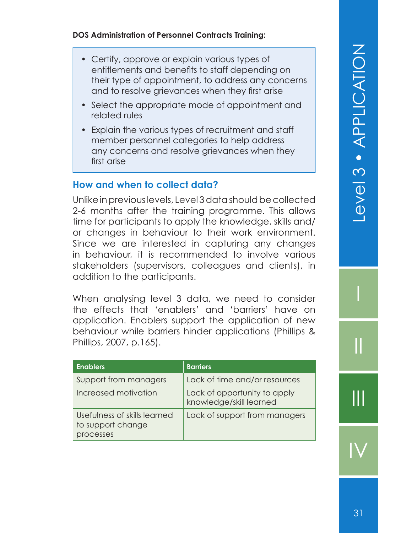I

II

III

IV

#### **DOS Administration of Personnel Contracts Training:**

- Certify, approve or explain various types of entitlements and benefits to staff depending on their type of appointment, to address any concerns and to resolve grievances when they first arise
- Select the appropriate mode of appointment and related rules
- Explain the various types of recruitment and staff member personnel categories to help address any concerns and resolve grievances when they first arise

#### **How and when to collect data?**

Unlike in previous levels, Level 3 data should be collected 2-6 months after the training programme. This allows time for participants to apply the knowledge, skills and/ or changes in behaviour to their work environment. Since we are interested in capturing any changes in behaviour, it is recommended to involve various stakeholders (supervisors, colleagues and clients), in addition to the participants.

When analysing level 3 data, we need to consider the effects that 'enablers' and 'barriers' have on application. Enablers support the application of new behaviour while barriers hinder applications (Phillips & Phillips, 2007, p.165).

| <b>Enablers</b>                                                | <b>Barriers</b>                                         |
|----------------------------------------------------------------|---------------------------------------------------------|
| Support from managers                                          | Lack of time and/or resources                           |
| Increased motivation                                           | Lack of opportunity to apply<br>knowledge/skill learned |
| Usefulness of skills learned<br>to support change<br>processes | Lack of support from managers                           |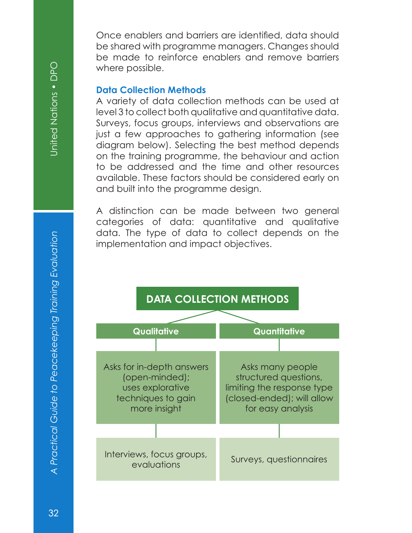United Nations . DPO

Once enablers and barriers are identified, data should be shared with programme managers. Changes should be made to reinforce enablers and remove barriers where possible.

#### **Data Collection Methods**

A variety of data collection methods can be used at level 3 to collect both qualitative and quantitative data. Surveys, focus groups, interviews and observations are just a few approaches to gathering information (see diagram below). Selecting the best method depends on the training programme, the behaviour and action to be addressed and the time and other resources available. These factors should be considered early on and built into the programme design.

A distinction can be made between two general categories of data: quantitative and qualitative data. The type of data to collect depends on the implementation and impact objectives.

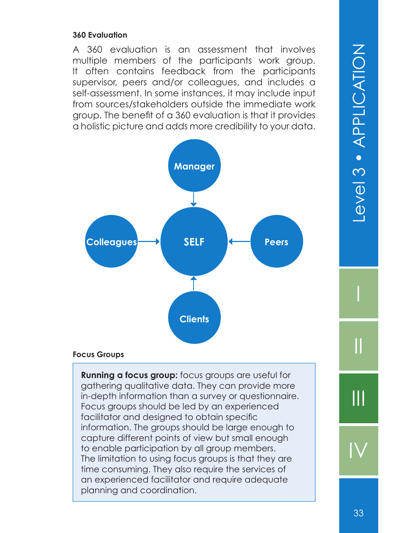#### **360 Evaluation**

A 360 evaluation is an assessment that involves multiple members of the participants work group. It often contains feedback from the participants supervisor, peers and/or colleagues, and includes a self-assessment. In some instances, it may include input from sources/stakeholders outside the immediate work group. The benefit of a 360 evaluation is that it provides a holistic picture and adds more credibility to your data.



#### **Focus Groups**

**Running a focus group:** focus groups are useful for gathering qualitative data. They can provide more in-depth information than a survey or questionnaire. Focus groups should be led by an experienced facilitator and designed to obtain specific information. The groups should be large enough to capture different points of view but small enough to enable participation by all group members. The limitation to using focus groups is that they are time consuming. They also require the services of an experienced facilitator and require adequate planning and coordination.

I

II

III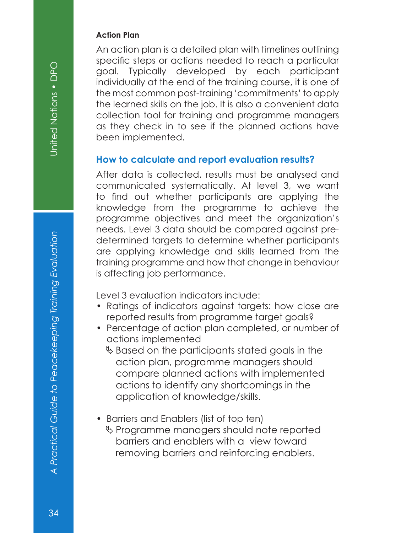#### **Action Plan**

An action plan is a detailed plan with timelines outlining specific steps or actions needed to reach a particular goal. Typically developed by each participant individually at the end of the training course, it is one of the most common post-training 'commitments' to apply the learned skills on the job. It is also a convenient data collection tool for training and programme managers as they check in to see if the planned actions have been implemented.

#### **How to calculate and report evaluation results?**

After data is collected, results must be analysed and communicated systematically. At level 3, we want to find out whether participants are applying the knowledge from the programme to achieve the programme objectives and meet the organization's needs. Level 3 data should be compared against predetermined targets to determine whether participants are applying knowledge and skills learned from the training programme and how that change in behaviour is affecting job performance.

Level 3 evaluation indicators include:

- Ratings of indicators against targets: how close are reported results from programme target goals?
- Percentage of action plan completed, or number of actions implemented
	- $\%$  Based on the participants stated goals in the action plan, programme managers should compare planned actions with implemented actions to identify any shortcomings in the application of knowledge/skills.
- Barriers and Enablers (list of top ten)
	- $\%$  Programme managers should note reported barriers and enablers with a view toward removing barriers and reinforcing enablers.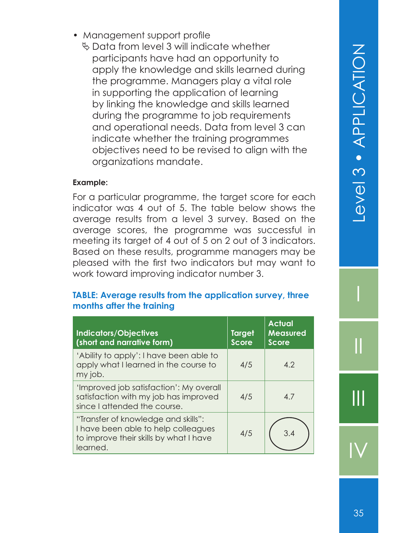$\%$  Data from level 3 will indicate whether participants have had an opportunity to apply the knowledge and skills learned during the programme. Managers play a vital role in supporting the application of learning by linking the knowledge and skills learned during the programme to job requirements and operational needs. Data from level 3 can indicate whether the training programmes objectives need to be revised to align with the organizations mandate.

#### **Example:**

For a particular programme, the target score for each indicator was 4 out of 5. The table below shows the average results from a level 3 survey. Based on the average scores, the programme was successful in meeting its target of 4 out of 5 on 2 out of 3 indicators. Based on these results, programme managers may be pleased with the first two indicators but may want to work toward improving indicator number 3.

#### **TABLE: Average results from the application survey, three months after the training**

| <b>Indicators/Objectives</b><br>(short and narrative form)                                                                       | <b>Target</b><br><b>Score</b> | <b>Actual</b><br><b>Measured</b><br><b>Score</b> |
|----------------------------------------------------------------------------------------------------------------------------------|-------------------------------|--------------------------------------------------|
| 'Ability to apply': I have been able to<br>apply what I learned in the course to<br>my job.                                      | 4/5                           | 4.2                                              |
| 'Improved job satisfaction': My overall<br>satisfaction with my job has improved<br>since I attended the course.                 | 4/5                           | 4.7                                              |
| "Transfer of knowledge and skills":<br>I have been able to help colleagues<br>to improve their skills by what I have<br>learned. | 4/5                           | 3.4                                              |

I

II

III

IV

35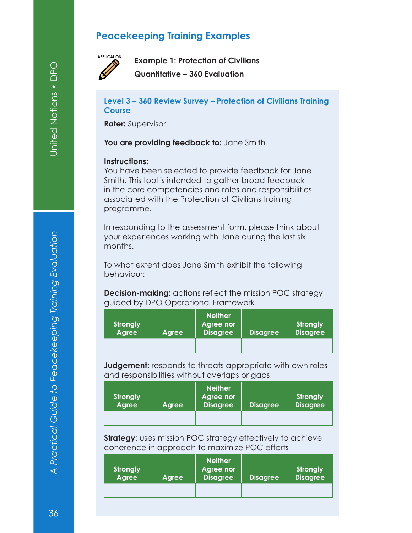#### **Peacekeeping Training Examples**



**Example 1: Protection of Civilians Quantitative – 360 Evaluation**

**Level 3 – 360 Review Survey – Protection of Civilians Training Course**

**Rater:** Supervisor

You are providing feedback to: Jane Smith

#### **Instructions:**

You have been selected to provide feedback for Jane Smith. This tool is intended to gather broad feedback in the core competencies and roles and responsibilities associated with the Protection of Civilians training programme.

In responding to the assessment form, please think about your experiences working with Jane during the last six months.

To what extent does Jane Smith exhibit the following behaviour:

**Decision-making:** actions reflect the mission POC strategy guided by DPO Operational Framework.

| <b>Strongly</b><br><b>Agree</b> | Agree | <b>Neither</b><br><b>Agree nor</b><br><b>Disagree</b> | <b>Disagree</b> | Strongly<br><b>Disagree</b> |
|---------------------------------|-------|-------------------------------------------------------|-----------------|-----------------------------|
|                                 |       |                                                       |                 |                             |

**Judgement:** responds to threats appropriate with own roles and responsibilities without overlaps or gaps

| <b>Strongly</b><br><b>Agree</b> | Agree | <b>Neither</b><br>Agree nor<br><b>Disagree</b> | <b>Disagree</b> | <b>Strongly</b><br><b>Disagree</b> |
|---------------------------------|-------|------------------------------------------------|-----------------|------------------------------------|
|                                 |       |                                                |                 |                                    |

**Strategy:** uses mission POC strategy effectively to achieve coherence in approach to maximize POC efforts

| <b>Strongly</b><br><b>Agree</b> | Agree | <b>Neither</b><br>Agree nor<br><b>Disagree</b> | <b>Disagree</b> | <b>Strongly</b><br><b>Disagree</b> |
|---------------------------------|-------|------------------------------------------------|-----------------|------------------------------------|
|                                 |       |                                                |                 |                                    |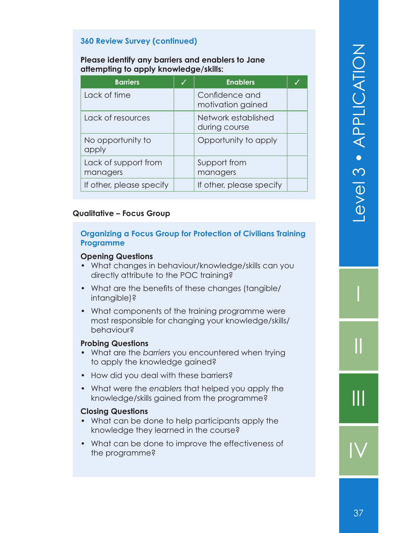#### **360 Review Survey (continued)**

#### **Please identify any barriers and enablers to Jane attempting to apply knowledge/skills:**

| <b>Barriers</b>                  | <b>Enablers</b>                      |  |
|----------------------------------|--------------------------------------|--|
| Lack of time                     | Confidence and<br>motivation gained  |  |
| Lack of resources                | Network established<br>during course |  |
| No opportunity to<br>apply       | Opportunity to apply                 |  |
| Lack of support from<br>managers | Support from<br>managers             |  |
| If other, please specify         | If other, please specify             |  |

#### **Qualitative – Focus Group**

#### **Organizing a Focus Group for Protection of Civilians Training Programme**

#### **Opening Questions**

- What changes in behaviour/knowledge/skills can you directly attribute to the POC training?
- What are the benefits of these changes (tangible/ intangible)?
- What components of the training programme were most responsible for changing your knowledge/skills/ behaviour?

#### **Probing Questions**

- What are the *barriers* you encountered when trying to apply the knowledge gained?
- How did you deal with these barriers?
- What were the *enablers* that helped you apply the knowledge/skills gained from the programme?

#### **Closing Questions**

- What can be done to help participants apply the knowledge they learned in the course?
- What can be done to improve the effectiveness of the programme?

I

II

III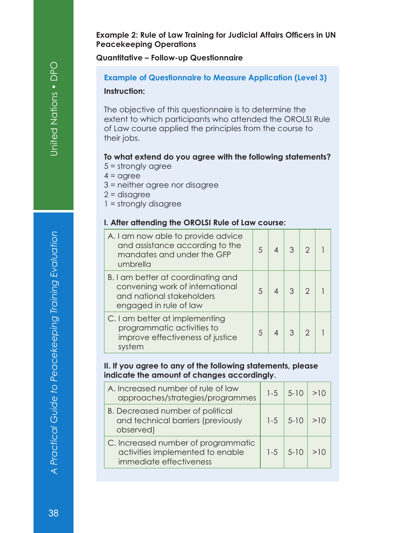**Example 2: Rule of Law Training for Judicial Affairs Officers in UN Peacekeeping Operations**

**Quantitative – Follow-up Questionnaire**

#### **Example of Questionnaire to Measure Application (Level 3)**

#### **Instruction:**

The objective of this questionnaire is to determine the extent to which participants who attended the OROLSI Rule of Law course applied the principles from the course to their jobs.

#### **To what extend do you agree with the following statements?**

- 5 = strongly agree
- $4 = \text{agree}$
- 3 = neither agree nor disagree
- 2 = disagree
- 1 = strongly disagree

#### **I. After attending the OROLSI Rule of Law course:**

| A. I am now able to provide advice<br>and assistance according to the<br>mandates and under the GFP<br>umbrella              | 5  | 3 | 2 |  |
|------------------------------------------------------------------------------------------------------------------------------|----|---|---|--|
| B. I am better at coordinating and<br>convening work of international<br>and national stakeholders<br>engaged in rule of law | 5  |   | 2 |  |
| C. I am better at implementing<br>programmatic activities to<br>improve effectiveness of justice<br>system                   | .5 |   | 2 |  |

#### **II. If you agree to any of the following statements, please indicate the amount of changes accordingly.**

| A. Increased number of rule of law<br>approaches/strategies/programmes                             | $1 - 5$ | $5 - 10$ | >10 |
|----------------------------------------------------------------------------------------------------|---------|----------|-----|
| B. Decreased number of political<br>and technical barriers (previously<br>observed)                | $1 - 5$ | $5 - 10$ | >10 |
| C. Increased number of programmatic<br>activities implemented to enable<br>immediate effectiveness | $1 - 5$ | $5 - 10$ |     |
|                                                                                                    |         |          |     |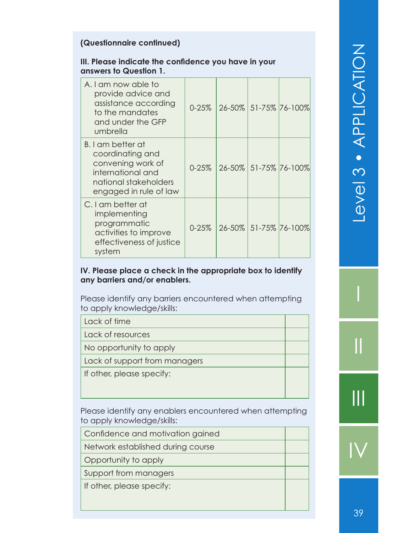#### **(Questionnaire continued)**

#### **III. Please indicate the confidence you have in your answers to Question 1.**

| A. I am now able to<br>provide advice and<br>assistance according<br>to the mandates<br>and under the GFP<br>umbrella              | $0 - 25%$ |  | 26-50% 51-75% 76-100% |
|------------------------------------------------------------------------------------------------------------------------------------|-----------|--|-----------------------|
| B. I am better at<br>coordinating and<br>convening work of<br>international and<br>national stakeholders<br>engaged in rule of law | $0 - 25%$ |  | 26-50% 51-75% 76-100% |
| C. I am better at<br>implementing<br>programmatic<br>activities to improve<br>effectiveness of justice<br>system                   | $0 - 25%$ |  | 26-50% 51-75% 76-100% |

#### **IV. Please place a check in the appropriate box to identify any barriers and/or enablers.**

Please identify any barriers encountered when attempting to apply knowledge/skills:

| Lack of time                  |
|-------------------------------|
| Lack of resources             |
| No opportunity to apply       |
| Lack of support from managers |
| If other, please specify:     |
|                               |
|                               |

Please identify any enablers encountered when attempting to apply knowledge/skills:

Confidence and motivation gained

Network established during course

Opportunity to apply

Support from managers

If other, please specify: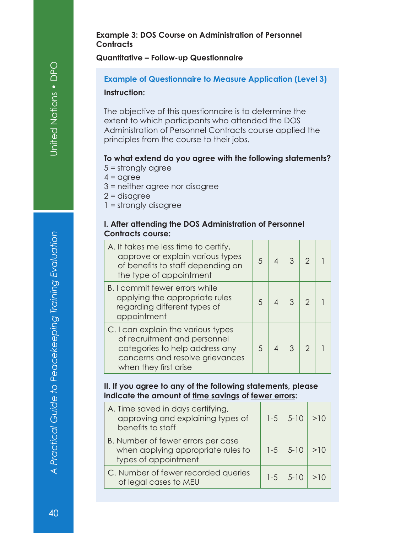#### **Example 3: DOS Course on Administration of Personnel Contracts**

#### **Quantitative – Follow-up Questionnaire**

#### **Example of Questionnaire to Measure Application (Level 3)**

#### **Instruction:**

The objective of this questionnaire is to determine the extent to which participants who attended the DOS Administration of Personnel Contracts course applied the principles from the course to their jobs.

#### **To what extend do you agree with the following statements?**

- 5 = strongly agree
- $4 = \text{agree}$
- 3 = neither agree nor disagree
- 2 = disagree
- 1 = strongly disagree

#### **I. After attending the DOS Administration of Personnel Contracts course:**

| A. It takes me less time to certify,<br>approve or explain various types<br>of benefits to staff depending on<br>the type of appointment                         | 5 | 3 | っ |  |
|------------------------------------------------------------------------------------------------------------------------------------------------------------------|---|---|---|--|
| B. I commit fewer errors while<br>applying the appropriate rules<br>regarding different types of<br>appointment                                                  |   | 3 | 2 |  |
| C. I can explain the various types<br>of recruitment and personnel<br>categories to help address any<br>concerns and resolve grievances<br>when they first arise | 5 | 3 | っ |  |

#### **II. If you agree to any of the following statements, please indicate the amount of time savings of fewer errors:**

| A. Time saved in days certifying,<br>approving and explaining types of<br>benefits to staff      | $1-5$   5-10 | >10 |
|--------------------------------------------------------------------------------------------------|--------------|-----|
| B. Number of fewer errors per case<br>when applying appropriate rules to<br>types of appointment | $1-5$   5-10 | >10 |
| C. Number of fewer recorded queries<br>of legal cases to MEU                                     | $1-5$   5-10 |     |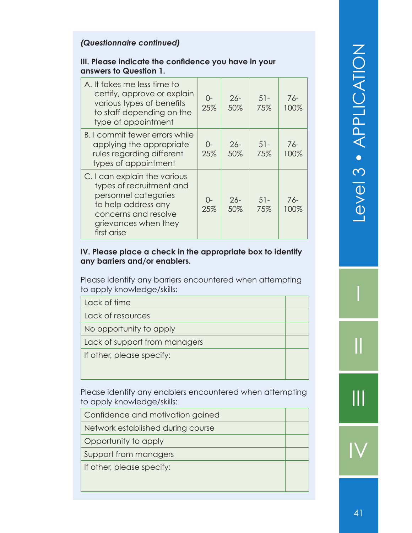#### *(Questionnaire continued)*

#### **III. Please indicate the confidence you have in your answers to Question 1.**

| A. It takes me less time to<br>certify, approve or explain<br>various types of benefits<br>to staff depending on the<br>type of appointment                            | $O-$<br>25%   | $26-$<br>50%  | $51 -$<br>75% | 76-<br>100% |
|------------------------------------------------------------------------------------------------------------------------------------------------------------------------|---------------|---------------|---------------|-------------|
| B. I commit fewer errors while<br>applying the appropriate<br>rules regarding different<br>types of appointment                                                        | $O-$<br>25%   | $26-$<br>50%  | $51 -$<br>75% | 76-<br>100% |
| C. I can explain the various<br>types of recruitment and<br>personnel categories<br>to help address any<br>concerns and resolve<br>grievances when they<br>first arise | $()$ -<br>25% | $26 -$<br>50% | $51 -$<br>75% | 76-<br>100% |

#### **IV. Please place a check in the appropriate box to identify any barriers and/or enablers.**

Please identify any barriers encountered when attempting to apply knowledge/skills:

| Lack of time |
|--------------|
|--------------|

Lack of resources

No opportunity to apply

Lack of support from managers

If other, please specify:

Please identify any enablers encountered when attempting to apply knowledge/skills:

Network established during course

Opportunity to apply

Support from managers

If other, please specify:

I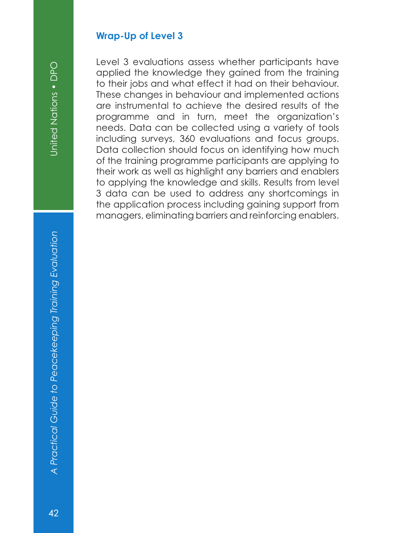# United Nations . DPO

# *A Practical Guide to Peacekeeping Training Evaluation* United Nations • DPO A Practical Guide to Peacekeeping Training Evaluation

#### **Wrap-Up of Level 3**

Level 3 evaluations assess whether participants have applied the knowledge they gained from the training to their jobs and what effect it had on their behaviour. These changes in behaviour and implemented actions are instrumental to achieve the desired results of the programme and in turn, meet the organization's needs. Data can be collected using a variety of tools including surveys, 360 evaluations and focus groups. Data collection should focus on identifying how much of the training programme participants are applying to their work as well as highlight any barriers and enablers to applying the knowledge and skills. Results from level 3 data can be used to address any shortcomings in the application process including gaining support from managers, eliminating barriers and reinforcing enablers.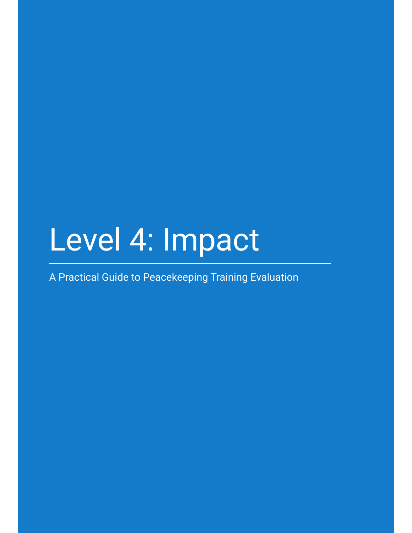# Level 4: Impact

A Practical Guide to Peacekeeping Training Evaluation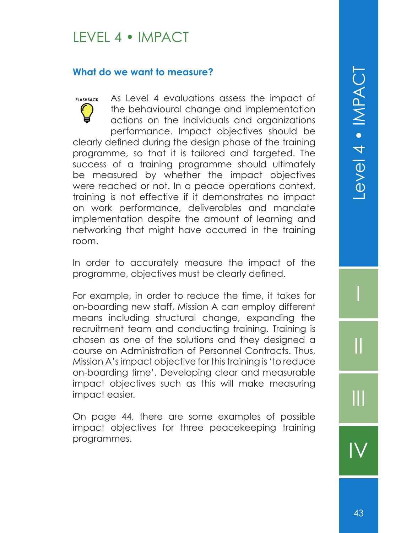#### LEVEL 4 • IMPACT

#### **What do we want to measure?**

As Level 4 evaluations assess the impact of the behavioural change and implementation actions on the individuals and organizations performance. Impact objectives should be clearly defined during the design phase of the training programme, so that it is tailored and targeted. The success of a training programme should ultimately be measured by whether the impact objectives were reached or not. In a peace operations context, training is not effective if it demonstrates no impact on work performance, deliverables and mandate implementation despite the amount of learning and networking that might have occurred in the training room. **FLASHBACK**

In order to accurately measure the impact of the programme, objectives must be clearly defined.

For example, in order to reduce the time, it takes for on-boarding new staff, Mission A can employ different means including structural change, expanding the recruitment team and conducting training. Training is chosen as one of the solutions and they designed a course on Administration of Personnel Contracts. Thus, Mission A's impact objective for this training is 'to reduce on-boarding time'. Developing clear and measurable impact objectives such as this will make measuring impact easier.

On page 44, there are some examples of possible impact objectives for three peacekeeping training programmes.

I

II

III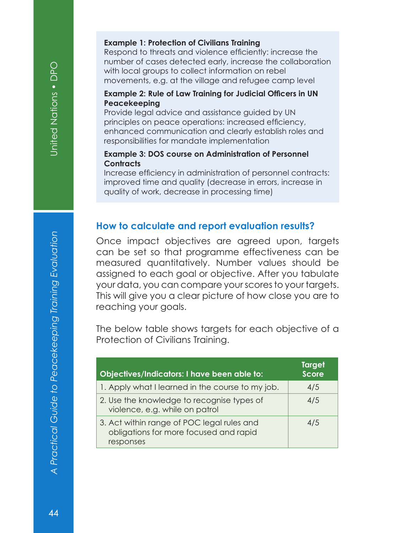#### **Example 1: Protection of Civilians Training**

Respond to threats and violence efficiently: increase the number of cases detected early, increase the collaboration with local groups to collect information on rebel movements, e.g. at the village and refugee camp level

#### **Example 2: Rule of Law Training for Judicial Officers in UN Peacekeeping**

Provide legal advice and assistance guided by UN principles on peace operations: increased efficiency, enhanced communication and clearly establish roles and responsibilities for mandate implementation

#### **Example 3: DOS course on Administration of Personnel Contracts**

Increase efficiency in administration of personnel contracts: improved time and quality (decrease in errors, increase in quality of work, decrease in processing time)

#### **How to calculate and report evaluation results?**

Once impact objectives are agreed upon, targets can be set so that programme effectiveness can be measured quantitatively. Number values should be assigned to each goal or objective. After you tabulate your data, you can compare your scores to your targets. This will give you a clear picture of how close you are to reaching your goals.

The below table shows targets for each objective of a Protection of Civilians Training.

| Objectives/Indicators: I have been able to:                                                       | <b>Target</b><br><b>Score</b> |
|---------------------------------------------------------------------------------------------------|-------------------------------|
| 1. Apply what I learned in the course to my job.                                                  | 4/5                           |
| 2. Use the knowledge to recognise types of<br>violence, e.g. while on patrol                      | 4/5                           |
| 3. Act within range of POC legal rules and<br>obligations for more focused and rapid<br>responses | 4/5                           |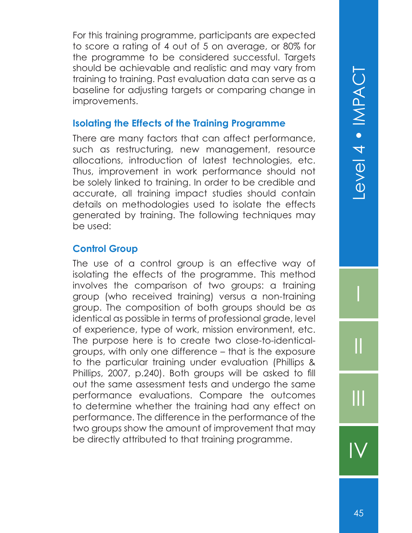For this training programme, participants are expected to score a rating of 4 out of 5 on average, or 80% for the programme to be considered successful. Targets should be achievable and realistic and may vary from training to training. Past evaluation data can serve as a baseline for adjusting targets or comparing change in improvements.

#### **Isolating the Effects of the Training Programme**

There are many factors that can affect performance, such as restructuring, new management, resource allocations, introduction of latest technologies, etc. Thus, improvement in work performance should not be solely linked to training. In order to be credible and accurate, all training impact studies should contain details on methodologies used to isolate the effects generated by training. The following techniques may be used:

#### **Control Group**

The use of a control group is an effective way of isolating the effects of the programme. This method involves the comparison of two groups: a training group (who received training) versus a non-training group. The composition of both groups should be as identical as possible in terms of professional grade, level of experience, type of work, mission environment, etc. The purpose here is to create two close-to-identicalgroups, with only one difference – that is the exposure to the particular training under evaluation (Phillips & Phillips, 2007, p.240). Both groups will be asked to fill out the same assessment tests and undergo the same performance evaluations. Compare the outcomes to determine whether the training had any effect on performance. The difference in the performance of the two groups show the amount of improvement that may be directly attributed to that training programme.

I

II

III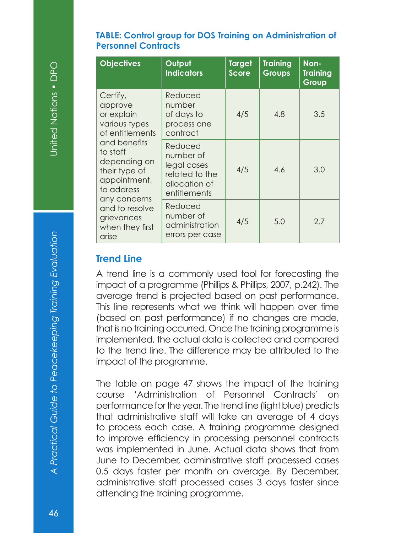#### **TABLE: Control group for DOS Training on Administration of Personnel Contracts**

| <b>Objectives</b>                                                                                                                                                   | Output<br><b>Indicators</b>                                                            | <b>Target</b><br><b>Score</b> | <b>Training</b><br>Groups | Non-<br>Training<br>Group |
|---------------------------------------------------------------------------------------------------------------------------------------------------------------------|----------------------------------------------------------------------------------------|-------------------------------|---------------------------|---------------------------|
| Certify,<br>approve<br>or explain<br>various types<br>of entitlements                                                                                               | Reduced<br>number<br>of days to<br>process one<br>contract                             | 4/5                           | 4.8                       | 3.5                       |
| and benefits<br>to staff<br>depending on<br>their type of<br>appointment,<br>to address<br>any concerns<br>and to resolve<br>grievances<br>when they first<br>arise | Reduced<br>number of<br>legal cases<br>related to the<br>allocation of<br>entitlements | 4/5                           | 4.6                       | 3.0                       |
|                                                                                                                                                                     | Reduced<br>number of<br>administration<br>errors per case                              | 4/5                           | 5.0                       | 2.7                       |

#### **Trend Line**

A trend line is a commonly used tool for forecasting the impact of a programme (Phillips & Phillips, 2007, p.242). The average trend is projected based on past performance. This line represents what we think will happen over time (based on past performance) if no changes are made, that is no training occurred. Once the training programme is implemented, the actual data is collected and compared to the trend line. The difference may be attributed to the impact of the programme.

The table on page 47 shows the impact of the training course 'Administration of Personnel Contracts' on performance for the year. The trend line (light blue) predicts that administrative staff will take an average of 4 days to process each case. A training programme designed to improve efficiency in processing personnel contracts was implemented in June. Actual data shows that from June to December, administrative staff processed cases 0.5 days faster per month on average. By December, administrative staff processed cases 3 days faster since attending the training programme.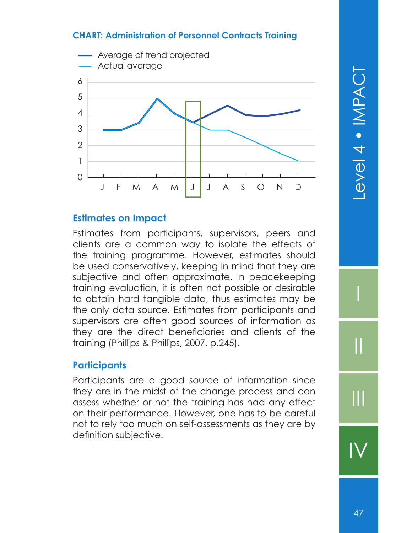#### **CHART: Administration of Personnel Contracts Training**



#### **Estimates on Impact**

Estimates from participants, supervisors, peers and clients are a common way to isolate the effects of the training programme. However, estimates should be used conservatively, keeping in mind that they are subjective and often approximate. In peacekeeping training evaluation, it is often not possible or desirable to obtain hard tangible data, thus estimates may be the only data source. Estimates from participants and supervisors are often good sources of information as they are the direct beneficiaries and clients of the training (Phillips & Phillips, 2007, p.245).

#### **Participants**

Participants are a good source of information since they are in the midst of the change process and can assess whether or not the training has had any effect on their performance. However, one has to be careful not to rely too much on self-assessments as they are by definition subjective.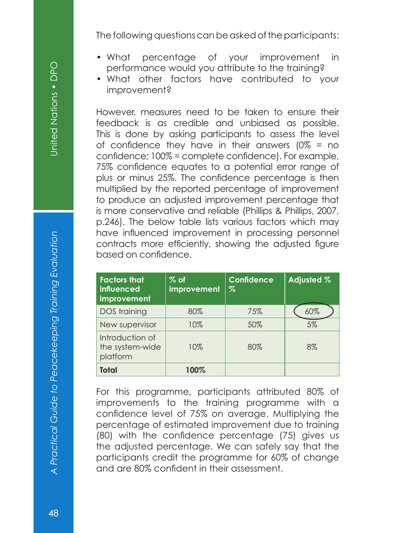The following questions can be asked of the participants:

- What percentage of your improvement in performance would you attribute to the training?
- What other factors have contributed to your improvement?

However, measures need to be taken to ensure their feedback is as credible and unbiased as possible. This is done by asking participants to assess the level of confidence they have in their answers  $(0\% =$  no confidence; 100% = complete confidence). For example, 75% confidence equates to a potential error range of plus or minus 25%. The confidence percentage is then multiplied by the reported percentage of improvement to produce an adjusted improvement percentage that is more conservative and reliable (Phillips & Phillips, 2007, p.246). The below table lists various factors which may have influenced improvement in processing personnel contracts more efficiently, showing the adjusted figure based on confidence.

| <b>Factors that</b><br>influenced<br>improvement | $%$ of<br>improvement | <b>Confidence</b><br>$\%$ | Adjusted % |
|--------------------------------------------------|-----------------------|---------------------------|------------|
| DOS training                                     | 80%                   | 75%                       | 60%        |
| New supervisor                                   | 10%                   | 50%                       | 5%         |
| Introduction of<br>the system-wide<br>platform   | 10%                   | 80%                       | 8%         |
| <b>Total</b>                                     | 100%                  |                           |            |

For this programme, participants attributed 80% of improvements to the training programme with a confidence level of 75% on average. Multiplying the percentage of estimated improvement due to training (80) with the confidence percentage (75) gives us the adjusted percentage. We can safely say that the participants credit the programme for 60% of change and are 80% confident in their assessment.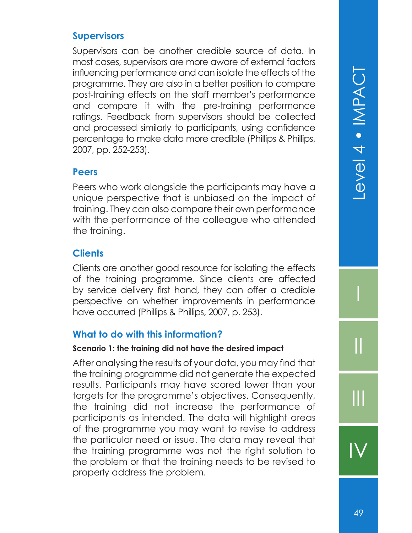#### **Supervisors**

Supervisors can be another credible source of data. In most cases, supervisors are more aware of external factors influencing performance and can isolate the effects of the programme. They are also in a better position to compare post-training effects on the staff member's performance and compare it with the pre-training performance ratings. Feedback from supervisors should be collected and processed similarly to participants, using confidence percentage to make data more credible (Phillips & Phillips, 2007, pp. 252-253).

#### **Peers**

Peers who work alongside the participants may have a unique perspective that is unbiased on the impact of training. They can also compare their own performance with the performance of the colleague who attended the training.

#### **Clients**

Clients are another good resource for isolating the effects of the training programme. Since clients are affected by service delivery first hand, they can offer a credible perspective on whether improvements in performance have occurred (Phillips & Phillips, 2007, p. 253).

#### **What to do with this information?**

#### **Scenario 1: the training did not have the desired impact**

After analysing the results of your data, you may find that the training programme did not generate the expected results. Participants may have scored lower than your targets for the programme's objectives. Consequently, the training did not increase the performance of participants as intended. The data will highlight areas of the programme you may want to revise to address the particular need or issue. The data may reveal that the training programme was not the right solution to the problem or that the training needs to be revised to properly address the problem.

I

II

III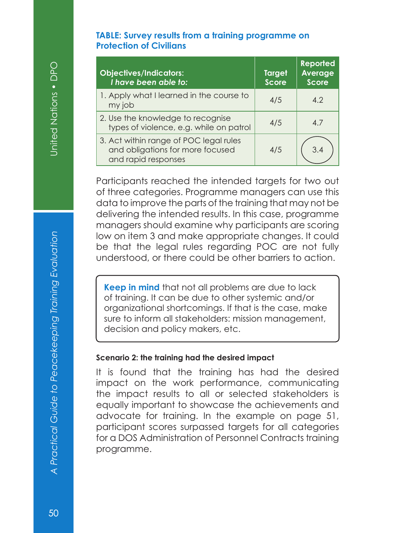#### **TABLE: Survey results from a training programme on Protection of Civilians**

| <b>Objectives/Indicators:</b><br>I have been able to:                                             | <b>Target</b><br><b>Score</b> | <b>Reported</b><br>Average<br><b>Score</b> |
|---------------------------------------------------------------------------------------------------|-------------------------------|--------------------------------------------|
| 1. Apply what I learned in the course to<br>my job                                                | 4/5                           | 4.2                                        |
| 2. Use the knowledge to recognise<br>types of violence, e.g. while on patrol                      | 4/5                           | 4.7                                        |
| 3. Act within range of POC legal rules<br>and obligations for more focused<br>and rapid responses | 4/5                           | 3.4                                        |

Participants reached the intended targets for two out of three categories. Programme managers can use this data to improve the parts of the training that may not be delivering the intended results. In this case, programme managers should examine why participants are scoring low on item 3 and make appropriate changes. It could be that the legal rules regarding POC are not fully understood, or there could be other barriers to action.

**Keep in mind** that not all problems are due to lack of training. It can be due to other systemic and/or organizational shortcomings. If that is the case, make sure to inform all stakeholders: mission management, decision and policy makers, etc.

#### **Scenario 2: the training had the desired impact**

It is found that the training has had the desired impact on the work performance, communicating the impact results to all or selected stakeholders is equally important to showcase the achievements and advocate for training. In the example on page 51, participant scores surpassed targets for all categories for a DOS Administration of Personnel Contracts training programme.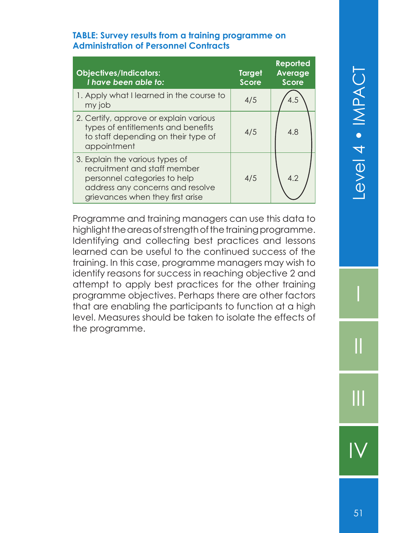# Level 4 . IMPACT

#### **TABLE: Survey results from a training programme on Administration of Personnel Contracts**

| <b>Objectives/Indicators:</b><br>I have been able to:                                                                                                                   | <b>Target</b><br><b>Score</b> | <b>Reported</b><br><b>Average</b><br><b>Score</b> |
|-------------------------------------------------------------------------------------------------------------------------------------------------------------------------|-------------------------------|---------------------------------------------------|
| 1. Apply what I learned in the course to<br>my job                                                                                                                      | 4/5                           | 4.5                                               |
| 2. Certify, approve or explain various<br>types of entitlements and benefits<br>to staff depending on their type of<br>appointment                                      | 4/5                           | 4.8                                               |
| 3. Explain the various types of<br>recruitment and staff member<br>personnel categories to help<br>address any concerns and resolve<br>grievances when they first arise | 4/5                           | 4.2                                               |

Programme and training managers can use this data to highlight the areas of strength of the training programme. Identifying and collecting best practices and lessons learned can be useful to the continued success of the training. In this case, programme managers may wish to identify reasons for success in reaching objective 2 and attempt to apply best practices for the other training programme objectives. Perhaps there are other factors that are enabling the participants to function at a high level. Measures should be taken to isolate the effects of the programme.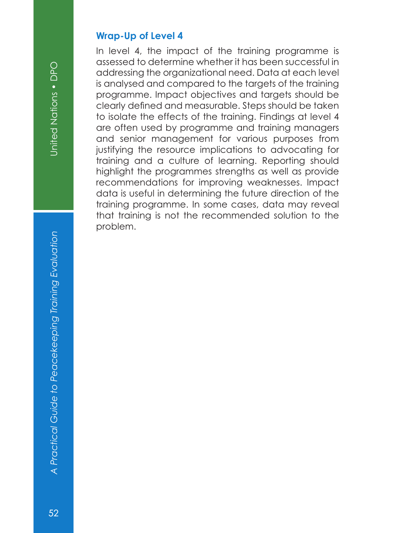#### **Wrap-Up of Level 4**

In level 4, the impact of the training programme is assessed to determine whether it has been successful in addressing the organizational need. Data at each level is analysed and compared to the targets of the training programme. Impact objectives and targets should be clearly defined and measurable. Steps should be taken to isolate the effects of the training. Findings at level 4 are often used by programme and training managers and senior management for various purposes from justifying the resource implications to advocating for training and a culture of learning. Reporting should highlight the programmes strengths as well as provide recommendations for improving weaknesses. Impact data is useful in determining the future direction of the training programme. In some cases, data may reveal that training is not the recommended solution to the problem.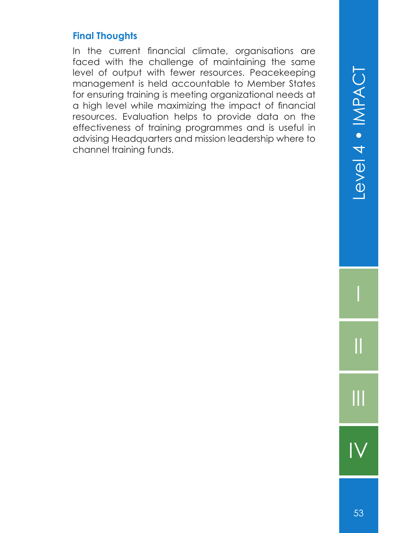#### **Final Thoughts**

In the current financial climate, organisations are faced with the challenge of maintaining the same level of output with fewer resources. Peacekeeping management is held accountable to Member States for ensuring training is meeting organizational needs at a high level while maximizing the impact of financial resources. Evaluation helps to provide data on the effectiveness of training programmes and is useful in advising Headquarters and mission leadership where to channel training funds.

I

II

III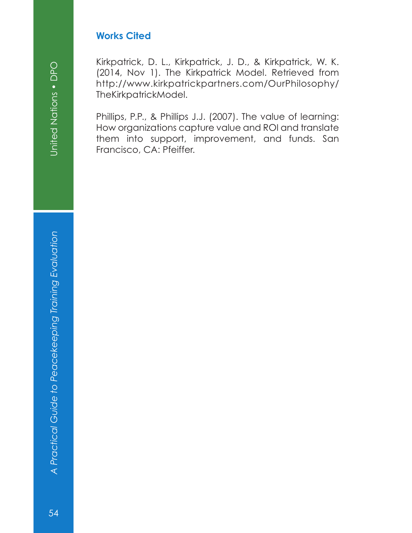#### **Works Cited**

Kirkpatrick, D. L., Kirkpatrick, J. D., & Kirkpatrick, W. K. (2014, Nov 1). The Kirkpatrick Model. Retrieved from http://www.kirkpatrickpartners.com/OurPhilosophy/ TheKirkpatrickModel.

Phillips, P.P., & Phillips J.J. (2007). The value of learning: How organizations capture value and ROI and translate them into support, improvement, and funds. San Francisco, CA: Pfeiffer.